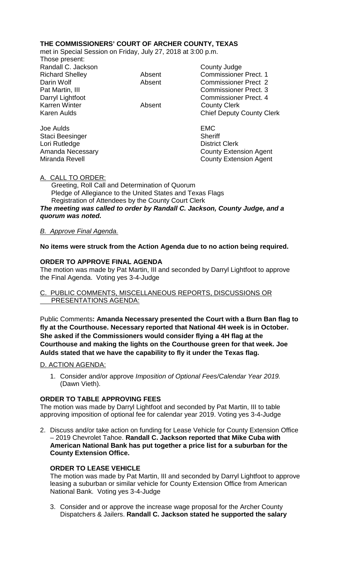# **THE COMMISSIONERS' COURT OF ARCHER COUNTY, TEXAS**

met in Special Session on Friday, July 27, 2018 at 3:00 p.m.

Those present: Randall C. Jackson County Judge Karren Winter **Absent** County Clerk

Joe Aulds EMC Staci Beesinger Sheriff Lori Rutledge **District Clerk** 

Richard Shelley **Absent** Commissioner Prect. 1 Darin Wolf **Absent** Commissioner Prect 2 Pat Martin, III Commissioner Prect. 3 Darryl Lightfoot **Commissioner Prect. 4** Karen Aulds **Chief Deputy County Clerk** 

Amanda Necessary County Extension Agent Miranda Revell **County Extension Agent** County Extension Agent

## A. CALL TO ORDER:

 Greeting, Roll Call and Determination of Quorum Pledge of Allegiance to the United States and Texas Flags Registration of Attendees by the County Court Clerk *The meeting was called to order by Randall C. Jackson, County Judge, and a quorum was noted.*

## *B. Approve Final Agenda.*

## **No items were struck from the Action Agenda due to no action being required.**

## **ORDER TO APPROVE FINAL AGENDA**

The motion was made by Pat Martin, III and seconded by Darryl Lightfoot to approve the Final Agenda. Voting yes 3-4-Judge

## C. PUBLIC COMMENTS, MISCELLANEOUS REPORTS, DISCUSSIONS OR PRESENTATIONS AGENDA:

Public Comments**: Amanda Necessary presented the Court with a Burn Ban flag to fly at the Courthouse. Necessary reported that National 4H week is in October. She asked if the Commissioners would consider flying a 4H flag at the Courthouse and making the lights on the Courthouse green for that week. Joe Aulds stated that we have the capability to fly it under the Texas flag.**

### D. ACTION AGENDA:

1. Consider and/or approve *Imposition of Optional Fees/Calendar Year 2019.*  (Dawn Vieth).

### **ORDER TO TABLE APPROVING FEES**

The motion was made by Darryl Lightfoot and seconded by Pat Martin, III to table approving imposition of optional fee for calendar year 2019. Voting yes 3-4-Judge

2. Discuss and/or take action on funding for Lease Vehicle for County Extension Office – 2019 Chevrolet Tahoe. **Randall C. Jackson reported that Mike Cuba with American National Bank has put together a price list for a suburban for the County Extension Office.**

# **ORDER TO LEASE VEHICLE**

The motion was made by Pat Martin, III and seconded by Darryl Lightfoot to approve leasing a suburban or similar vehicle for County Extension Office from American National Bank. Voting yes 3-4-Judge

3. Consider and or approve the increase wage proposal for the Archer County Dispatchers & Jailers. **Randall C. Jackson stated he supported the salary**